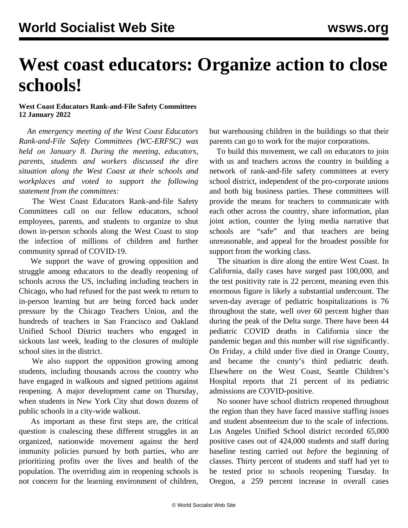## **West coast educators: Organize action to close schools!**

## **West Coast Educators Rank-and-File Safety Committees 12 January 2022**

 *An emergency meeting of the West Coast Educators Rank-and-File Safety Committees (WC-ERFSC) was held on January 8. During the meeting, educators, parents, students and workers discussed the dire situation along the West Coast at their schools and workplaces and voted to support the following statement from the committees:*

 The West Coast Educators Rank-and-file Safety Committees call on our fellow educators, school employees, parents, and students to organize to shut down in-person schools along the West Coast to stop the infection of millions of children and further community spread of COVID-19.

 We support the wave of growing opposition and struggle among educators to the deadly reopening of schools across the US, including including teachers in Chicago, who had refused for the past week to return to in-person learning but are being forced back under pressure by the Chicago Teachers Union, and the hundreds of teachers in San Francisco and Oakland Unified School District teachers who engaged in sickouts last week, leading to the closures of multiple school sites in the district.

 We also support the opposition growing among students, including thousands across the country who have engaged in walkouts and signed petitions against reopening. A major development came on Thursday, when students in New York City shut down dozens of public schools in a city-wide walkout.

 As important as these first steps are, the critical question is coalescing these different struggles in an organized, nationwide movement against the herd immunity policies pursued by both parties, who are prioritizing profits over the lives and health of the population. The overriding aim in reopening schools is not concern for the learning environment of children,

but warehousing children in the buildings so that their parents can go to work for the major corporations.

 To build this movement, we call on educators to join with us and teachers across the country in building a [network of rank-and-file safety committees](/en/special/pages/educators-rank-and-file-committee.html) at every school district, independent of the pro-corporate unions and both big business parties. These committees will provide the means for teachers to communicate with each other across the country, share information, plan joint action, counter the lying media narrative that schools are "safe" and that teachers are being unreasonable, and appeal for the broadest possible for support from the working class.

 The situation is dire along the entire West Coast. In California, daily cases have surged past 100,000, and the test positivity rate is 22 percent, meaning even this enormous figure is likely a substantial undercount. The seven-day average of pediatric hospitalizations is 76 throughout the state, well over 60 percent higher than during the peak of the Delta surge. There have been 44 pediatric COVID deaths in California since the pandemic began and this number will rise significantly. On Friday, a child under five died in Orange County, and became the county's third pediatric death. Elsewhere on the West Coast, Seattle Children's Hospital reports that 21 percent of its pediatric admissions are COVID-positive.

 No sooner have school districts reopened throughout the region than they have faced massive staffing issues and student absenteeism due to the scale of infections. Los Angeles Unified School district recorded 65,000 positive cases out of 424,000 students and staff during baseline testing carried out *before* the beginning of classes. Thirty percent of students and staff had yet to be tested prior to schools reopening Tuesday. In Oregon, a 259 percent increase in overall cases